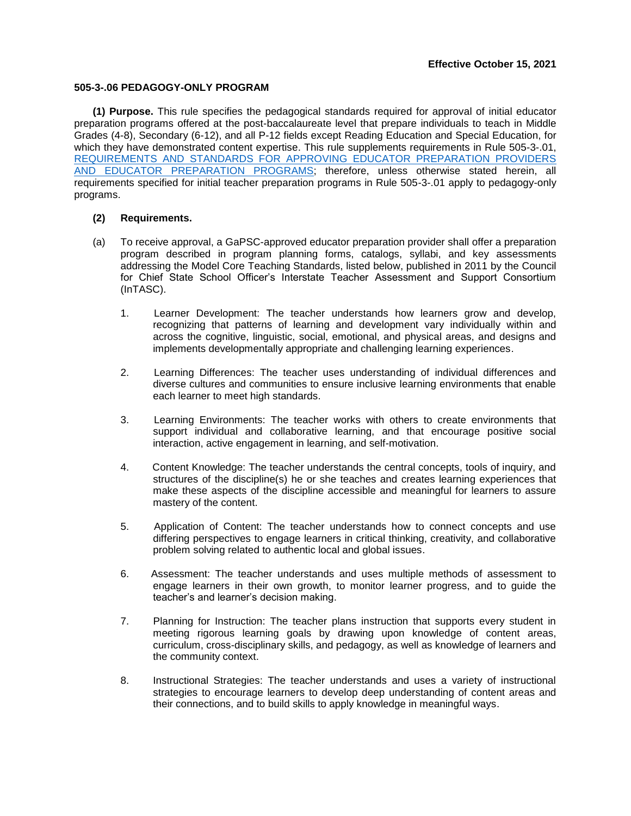## **505-3-.06 PEDAGOGY-ONLY PROGRAM**

**(1) Purpose.** This rule specifies the pedagogical standards required for approval of initial educator preparation programs offered at the post-baccalaureate level that prepare individuals to teach in Middle Grades (4-8), Secondary (6-12), and all P-12 fields except Reading Education and Special Education, for which they have demonstrated content expertise. This rule supplements requirements in Rule 505-3-.01, [REQUIREMENTS AND STANDARDS FOR APPROVING EDUCATOR PREPARATION PROVIDERS](https://www.gapsc.com/Rules/Current/EducatorPreparation/505-3-.01.pdf?dt=%3C%25#Eval()  [AND EDUCATOR PREPARATION PROGRAMS;](https://www.gapsc.com/Rules/Current/EducatorPreparation/505-3-.01.pdf?dt=%3C%25#Eval() therefore, unless otherwise stated herein, all requirements specified for initial teacher preparation programs in Rule 505-3-.01 apply to pedagogy-only programs.

## **(2) Requirements.**

- (a) To receive approval, a GaPSC-approved educator preparation provider shall offer a preparation program described in program planning forms, catalogs, syllabi, and key assessments addressing the Model Core Teaching Standards, listed below, published in 2011 by the Council for Chief State School Officer's Interstate Teacher Assessment and Support Consortium (InTASC).
	- 1. Learner Development: The teacher understands how learners grow and develop, recognizing that patterns of learning and development vary individually within and across the cognitive, linguistic, social, emotional, and physical areas, and designs and implements developmentally appropriate and challenging learning experiences.
	- 2. Learning Differences: The teacher uses understanding of individual differences and diverse cultures and communities to ensure inclusive learning environments that enable each learner to meet high standards.
	- 3. Learning Environments: The teacher works with others to create environments that support individual and collaborative learning, and that encourage positive social interaction, active engagement in learning, and self-motivation.
	- 4. Content Knowledge: The teacher understands the central concepts, tools of inquiry, and structures of the discipline(s) he or she teaches and creates learning experiences that make these aspects of the discipline accessible and meaningful for learners to assure mastery of the content.
	- 5. Application of Content: The teacher understands how to connect concepts and use differing perspectives to engage learners in critical thinking, creativity, and collaborative problem solving related to authentic local and global issues.
	- 6. Assessment: The teacher understands and uses multiple methods of assessment to engage learners in their own growth, to monitor learner progress, and to guide the teacher's and learner's decision making.
	- 7. Planning for Instruction: The teacher plans instruction that supports every student in meeting rigorous learning goals by drawing upon knowledge of content areas, curriculum, cross-disciplinary skills, and pedagogy, as well as knowledge of learners and the community context.
	- 8. Instructional Strategies: The teacher understands and uses a variety of instructional strategies to encourage learners to develop deep understanding of content areas and their connections, and to build skills to apply knowledge in meaningful ways.